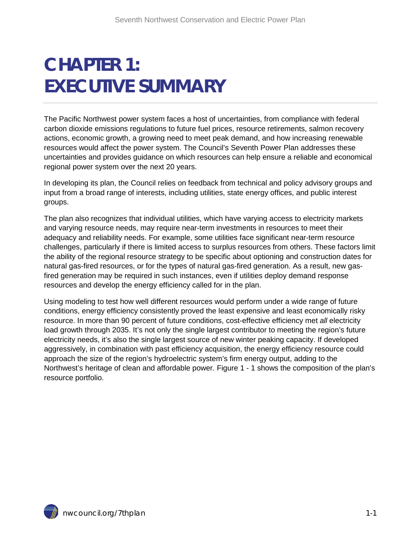# **CHAPTER 1: EXECUTIVE SUMMARY**

The Pacific Northwest power system faces a host of uncertainties, from compliance with federal carbon dioxide emissions regulations to future fuel prices, resource retirements, salmon recovery actions, economic growth, a growing need to meet peak demand, and how increasing renewable resources would affect the power system. The Council's Seventh Power Plan addresses these uncertainties and provides guidance on which resources can help ensure a reliable and economical regional power system over the next 20 years.

In developing its plan, the Council relies on feedback from technical and policy advisory groups and input from a broad range of interests, including utilities, state energy offices, and public interest groups.

The plan also recognizes that individual utilities, which have varying access to electricity markets and varying resource needs, may require near-term investments in resources to meet their adequacy and reliability needs. For example, some utilities face significant near-term resource challenges, particularly if there is limited access to surplus resources from others. These factors limit the ability of the regional resource strategy to be specific about optioning and construction dates for natural gas-fired resources, or for the types of natural gas-fired generation. As a result, new gasfired generation may be required in such instances, even if utilities deploy demand response resources and develop the energy efficiency called for in the plan.

Using modeling to test how well different resources would perform under a wide range of future conditions, energy efficiency consistently proved the least expensive and least economically risky resource. In more than 90 percent of future conditions, cost-effective efficiency met *all* electricity load growth through 2035. It's not only the single largest contributor to meeting the region's future electricity needs, it's also the single largest source of new winter peaking capacity. If developed aggressively, in combination with past efficiency acquisition, the energy efficiency resource could approach the size of the region's hydroelectric system's firm energy output, adding to the Northwest's heritage of clean and affordable power. Figure 1 - 1 shows the composition of the plan's resource portfolio.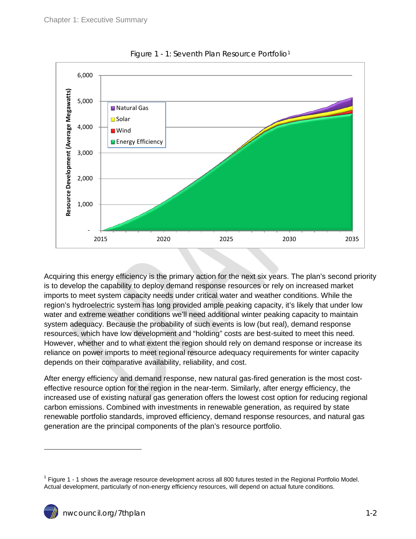

Figure 1 - 1: Seventh Plan Resource Portfolio<sup>1</sup>

Acquiring this energy efficiency is the primary action for the next six years. The plan's second priority is to develop the capability to deploy demand response resources or rely on increased market imports to meet system capacity needs under critical water and weather conditions. While the region's hydroelectric system has long provided ample peaking capacity, it's likely that under low water and extreme weather conditions we'll need additional winter peaking capacity to maintain system adequacy. Because the probability of such events is low (but real), demand response resources, which have low development and "holding" costs are best-suited to meet this need. However, whether and to what extent the region should rely on demand response or increase its reliance on power imports to meet regional resource adequacy requirements for winter capacity depends on their comparative availability, reliability, and cost.

After energy efficiency and demand response, new natural gas-fired generation is the most costeffective resource option for the region in the near-term. Similarly, after energy efficiency, the increased use of existing natural gas generation offers the lowest cost option for reducing regional carbon emissions. Combined with investments in renewable generation, as required by state renewable portfolio standards, improved efficiency, demand response resources, and natural gas generation are the principal components of the plan's resource portfolio.

<span id="page-1-0"></span> $1$  Figure 1 - 1 shows the average resource development across all 800 futures tested in the Regional Portfolio Model. Actual development, particularly of non-energy efficiency resources, will depend on actual future conditions.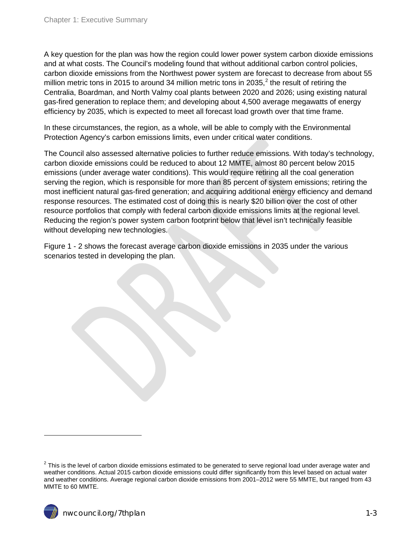A key question for the plan was how the region could lower power system carbon dioxide emissions and at what costs. The Council's modeling found that without additional carbon control policies, carbon dioxide emissions from the Northwest power system are forecast to decrease from about 55 million metric tons in [2](#page-1-0)015 to around 34 million metric tons in 2035,<sup>2</sup> the result of retiring the Centralia, Boardman, and North Valmy coal plants between 2020 and 2026; using existing natural gas-fired generation to replace them; and developing about 4,500 average megawatts of energy efficiency by 2035, which is expected to meet all forecast load growth over that time frame.

In these circumstances, the region, as a whole, will be able to comply with the Environmental Protection Agency's carbon emissions limits, even under critical water conditions.

The Council also assessed alternative policies to further reduce emissions. With today's technology, carbon dioxide emissions could be reduced to about 12 MMTE, almost 80 percent below 2015 emissions (under average water conditions). This would require retiring all the coal generation serving the region, which is responsible for more than 85 percent of system emissions; retiring the most inefficient natural gas-fired generation; and acquiring additional energy efficiency and demand response resources. The estimated cost of doing this is nearly \$20 billion over the cost of other resource portfolios that comply with federal carbon dioxide emissions limits at the regional level. Reducing the region's power system carbon footprint below that level isn't technically feasible without developing new technologies.

Figure 1 - 2 shows the forecast average carbon dioxide emissions in 2035 under the various scenarios tested in developing the plan.

<span id="page-2-0"></span> $2$  This is the level of carbon dioxide emissions estimated to be generated to serve regional load under average water and weather conditions. Actual 2015 carbon dioxide emissions could differ significantly from this level based on actual water and weather conditions. Average regional carbon dioxide emissions from 2001–2012 were 55 MMTE, but ranged from 43 MMTE to 60 MMTE.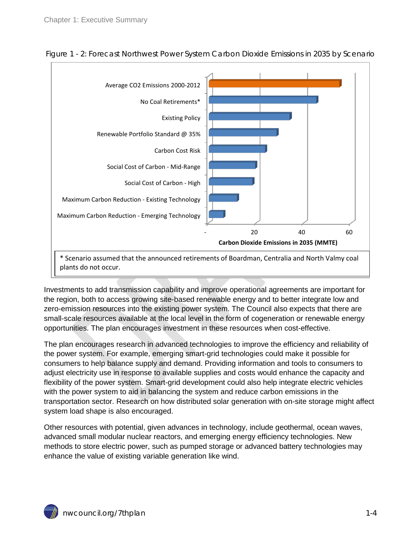

Figure 1 - 2: Forecast Northwest Power System Carbon Dioxide Emissions in 2035 by Scenario

Investments to add transmission capability and improve operational agreements are important for the region, both to access growing site-based renewable energy and to better integrate low and zero-emission resources into the existing power system. The Council also expects that there are small-scale resources available at the local level in the form of cogeneration or renewable energy opportunities. The plan encourages investment in these resources when cost-effective.

The plan encourages research in advanced technologies to improve the efficiency and reliability of the power system. For example, emerging smart-grid technologies could make it possible for consumers to help balance supply and demand. Providing information and tools to consumers to adjust electricity use in response to available supplies and costs would enhance the capacity and flexibility of the power system. Smart-grid development could also help integrate electric vehicles with the power system to aid in balancing the system and reduce carbon emissions in the transportation sector. Research on how distributed solar generation with on-site storage might affect system load shape is also encouraged.

Other resources with potential, given advances in technology, include geothermal, ocean waves, advanced small modular nuclear reactors, and emerging energy efficiency technologies. New methods to store electric power, such as pumped storage or advanced battery technologies may enhance the value of existing variable generation like wind.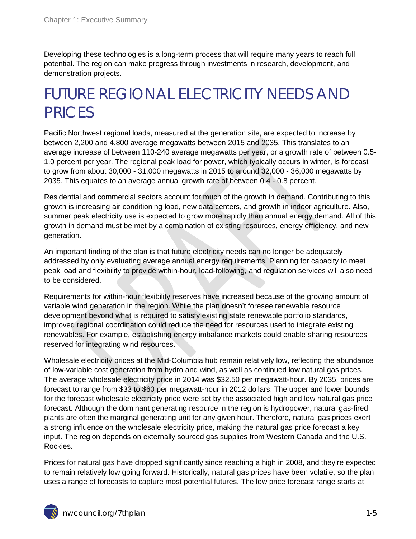Developing these technologies is a long-term process that will require many years to reach full potential. The region can make progress through investments in research, development, and demonstration projects.

# FUTURE REGIONAL ELECTRICITY NEEDS AND PRICES

Pacific Northwest regional loads, measured at the generation site, are expected to increase by between 2,200 and 4,800 average megawatts between 2015 and 2035. This translates to an average increase of between 110-240 average megawatts per year, or a growth rate of between 0.5- 1.0 percent per year. The regional peak load for power, which typically occurs in winter, is forecast to grow from about  $30,000 - 31,000$  megawatts in 2015 to around  $32,000 - 36,000$  megawatts by 2035. This equates to an average annual growth rate of between 0.4 - 0.8 percent.

Residential and commercial sectors account for much of the growth in demand. Contributing to this growth is increasing air conditioning load, new data centers, and growth in indoor agriculture. Also, summer peak electricity use is expected to grow more rapidly than annual energy demand. All of this growth in demand must be met by a combination of existing resources, energy efficiency, and new generation.

An important finding of the plan is that future electricity needs can no longer be adequately addressed by only evaluating average annual energy requirements. Planning for capacity to meet peak load and flexibility to provide within-hour, load-following, and regulation services will also need to be considered.

Requirements for within-hour flexibility reserves have increased because of the growing amount of variable wind generation in the region. While the plan doesn't foresee renewable resource development beyond what is required to satisfy existing state renewable portfolio standards, improved regional coordination could reduce the need for resources used to integrate existing renewables. For example, establishing energy imbalance markets could enable sharing resources reserved for integrating wind resources.

Wholesale electricity prices at the Mid-Columbia hub remain relatively low, reflecting the abundance of low-variable cost generation from hydro and wind, as well as continued low natural gas prices. The average wholesale electricity price in 2014 was \$32.50 per megawatt-hour. By 2035, prices are forecast to range from \$33 to \$60 per megawatt-hour in 2012 dollars. The upper and lower bounds for the forecast wholesale electricity price were set by the associated high and low natural gas price forecast. Although the dominant generating resource in the region is hydropower, natural gas-fired plants are often the marginal generating unit for any given hour. Therefore, natural gas prices exert a strong influence on the wholesale electricity price, making the natural gas price forecast a key input. The region depends on externally sourced gas supplies from Western Canada and the U.S. Rockies.

Prices for natural gas have dropped significantly since reaching a high in 2008, and they're expected to remain relatively low going forward. Historically, natural gas prices have been volatile, so the plan uses a range of forecasts to capture most potential futures. The low price forecast range starts at

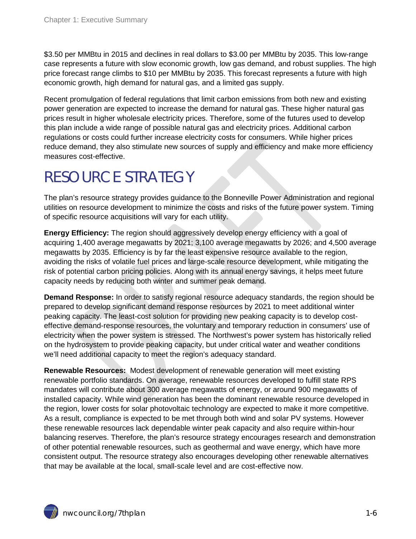\$3.50 per MMBtu in 2015 and declines in real dollars to \$3.00 per MMBtu by 2035. This low-range case represents a future with slow economic growth, low gas demand, and robust supplies. The high price forecast range climbs to \$10 per MMBtu by 2035. This forecast represents a future with high economic growth, high demand for natural gas, and a limited gas supply.

Recent promulgation of federal regulations that limit carbon emissions from both new and existing power generation are expected to increase the demand for natural gas. These higher natural gas prices result in higher wholesale electricity prices. Therefore, some of the futures used to develop this plan include a wide range of possible natural gas and electricity prices. Additional carbon regulations or costs could further increase electricity costs for consumers. While higher prices reduce demand, they also stimulate new sources of supply and efficiency and make more efficiency measures cost-effective.

### RESOURCE STRATEGY

The plan's resource strategy provides guidance to the Bonneville Power Administration and regional utilities on resource development to minimize the costs and risks of the future power system. Timing of specific resource acquisitions will vary for each utility.

**Energy Efficiency:** The region should aggressively develop energy efficiency with a goal of acquiring 1,400 average megawatts by 2021; 3,100 average megawatts by 2026; and 4,500 average megawatts by 2035. Efficiency is by far the least expensive resource available to the region, avoiding the risks of volatile fuel prices and large-scale resource development, while mitigating the risk of potential carbon pricing policies. Along with its annual energy savings, it helps meet future capacity needs by reducing both winter and summer peak demand.

**Demand Response:** In order to satisfy regional resource adequacy standards, the region should be prepared to develop significant demand response resources by 2021 to meet additional winter peaking capacity. The least-cost solution for providing new peaking capacity is to develop costeffective demand-response resources, the voluntary and temporary reduction in consumers' use of electricity when the power system is stressed. The Northwest's power system has historically relied on the hydrosystem to provide peaking capacity, but under critical water and weather conditions we'll need additional capacity to meet the region's adequacy standard.

**Renewable Resources:** Modest development of renewable generation will meet existing renewable portfolio standards. On average, renewable resources developed to fulfill state RPS mandates will contribute about 300 average megawatts of energy, or around 900 megawatts of installed capacity. While wind generation has been the dominant renewable resource developed in the region, lower costs for solar photovoltaic technology are expected to make it more competitive. As a result, compliance is expected to be met through both wind and solar PV systems. However these renewable resources lack dependable winter peak capacity and also require within-hour balancing reserves. Therefore, the plan's resource strategy encourages research and demonstration of other potential renewable resources, such as geothermal and wave energy, which have more consistent output. The resource strategy also encourages developing other renewable alternatives that may be available at the local, small-scale level and are cost-effective now.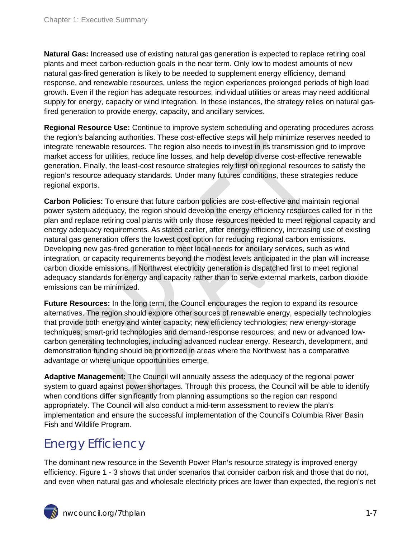**Natural Gas:** Increased use of existing natural gas generation is expected to replace retiring coal plants and meet carbon-reduction goals in the near term. Only low to modest amounts of new natural gas-fired generation is likely to be needed to supplement energy efficiency, demand response, and renewable resources, unless the region experiences prolonged periods of high load growth. Even if the region has adequate resources, individual utilities or areas may need additional supply for energy, capacity or wind integration. In these instances, the strategy relies on natural gasfired generation to provide energy, capacity, and ancillary services.

**Regional Resource Use:** Continue to improve system scheduling and operating procedures across the region's balancing authorities. These cost-effective steps will help minimize reserves needed to integrate renewable resources. The region also needs to invest in its transmission grid to improve market access for utilities, reduce line losses, and help develop diverse cost-effective renewable generation. Finally, the least-cost resource strategies rely first on regional resources to satisfy the region's resource adequacy standards. Under many futures conditions, these strategies reduce regional exports.

**Carbon Policies:** To ensure that future carbon policies are cost-effective and maintain regional power system adequacy, the region should develop the energy efficiency resources called for in the plan and replace retiring coal plants with only those resources needed to meet regional capacity and energy adequacy requirements. As stated earlier, after energy efficiency, increasing use of existing natural gas generation offers the lowest cost option for reducing regional carbon emissions. Developing new gas-fired generation to meet local needs for ancillary services, such as wind integration, or capacity requirements beyond the modest levels anticipated in the plan will increase carbon dioxide emissions. If Northwest electricity generation is dispatched first to meet regional adequacy standards for energy and capacity rather than to serve external markets, carbon dioxide emissions can be minimized.

**Future Resources:** In the long term, the Council encourages the region to expand its resource alternatives. The region should explore other sources of renewable energy, especially technologies that provide both energy and winter capacity; new efficiency technologies; new energy-storage techniques; smart-grid technologies and demand-response resources; and new or advanced lowcarbon generating technologies, including advanced nuclear energy. Research, development, and demonstration funding should be prioritized in areas where the Northwest has a comparative advantage or where unique opportunities emerge.

**Adaptive Management:** The Council will annually assess the adequacy of the regional power system to guard against power shortages. Through this process, the Council will be able to identify when conditions differ significantly from planning assumptions so the region can respond appropriately. The Council will also conduct a mid-term assessment to review the plan's implementation and ensure the successful implementation of the Council's Columbia River Basin Fish and Wildlife Program.

#### Energy Efficiency

The dominant new resource in the Seventh Power Plan's resource strategy is improved energy efficiency. Figure 1 - 3 shows that under scenarios that consider carbon risk and those that do not, and even when natural gas and wholesale electricity prices are lower than expected, the region's net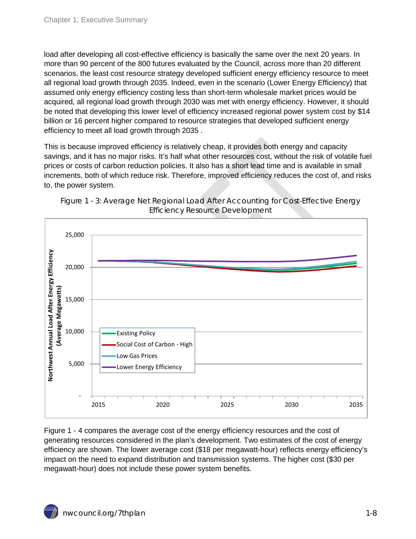load after developing all cost-effective efficiency is basically the same over the next 20 years. In more than 90 percent of the 800 futures evaluated by the Council, across more than 20 different scenarios, the least cost resource strategy developed sufficient energy efficiency resource to meet all regional load growth through 2035. Indeed, even in the scenario (Lower Energy Efficiency) that assumed only energy efficiency costing less than short-term wholesale market prices would be acquired, all regional load growth through 2030 was met with energy efficiency. However, it should be noted that developing this lower level of efficiency increased regional power system cost by \$14 billion or 16 percent higher compared to resource strategies that developed sufficient energy efficiency to meet all load growth through 2035 .

This is because improved efficiency is relatively cheap, it provides both energy and capacity savings, and it has no major risks. It's half what other resources cost, without the risk of volatile fuel prices or costs of carbon reduction policies. It also has a short lead time and is available in small increments, both of which reduce risk. Therefore, improved efficiency reduces the cost of, and risks to, the power system.





Figure 1 - 4 compares the average cost of the energy efficiency resources and the cost of generating resources considered in the plan's development. Two estimates of the cost of energy efficiency are shown. The lower average cost (\$18 per megawatt-hour) reflects energy efficiency's impact on the need to expand distribution and transmission systems. The higher cost (\$30 per megawatt-hour) does not include these power system benefits.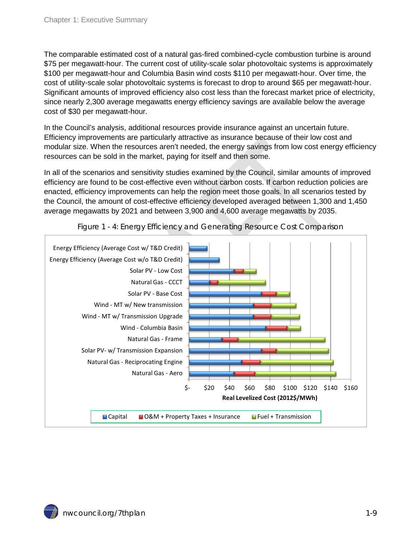The comparable estimated cost of a natural gas-fired combined-cycle combustion turbine is around \$75 per megawatt-hour. The current cost of utility-scale solar photovoltaic systems is approximately \$100 per megawatt-hour and Columbia Basin wind costs \$110 per megawatt-hour. Over time, the cost of utility-scale solar photovoltaic systems is forecast to drop to around \$65 per megawatt-hour. Significant amounts of improved efficiency also cost less than the forecast market price of electricity, since nearly 2,300 average megawatts energy efficiency savings are available below the average cost of \$30 per megawatt-hour.

In the Council's analysis, additional resources provide insurance against an uncertain future. Efficiency improvements are particularly attractive as insurance because of their low cost and modular size. When the resources aren't needed, the energy savings from low cost energy efficiency resources can be sold in the market, paying for itself and then some.

In all of the scenarios and sensitivity studies examined by the Council, similar amounts of improved efficiency are found to be cost-effective even without carbon costs. If carbon reduction policies are enacted, efficiency improvements can help the region meet those goals. In all scenarios tested by the Council, the amount of cost-effective efficiency developed averaged between 1,300 and 1,450 average megawatts by 2021 and between 3,900 and 4,600 average megawatts by 2035.



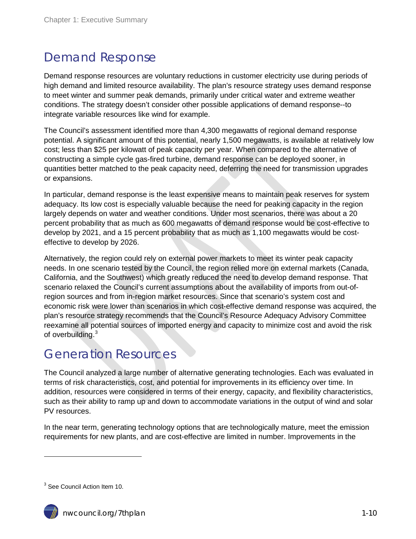#### Demand Response

Demand response resources are voluntary reductions in customer electricity use during periods of high demand and limited resource availability. The plan's resource strategy uses demand response to meet winter and summer peak demands, primarily under critical water and extreme weather conditions. The strategy doesn't consider other possible applications of demand response--to integrate variable resources like wind for example.

The Council's assessment identified more than 4,300 megawatts of regional demand response potential. A significant amount of this potential, nearly 1,500 megawatts, is available at relatively low cost; less than \$25 per kilowatt of peak capacity per year. When compared to the alternative of constructing a simple cycle gas-fired turbine, demand response can be deployed sooner, in quantities better matched to the peak capacity need, deferring the need for transmission upgrades or expansions.

In particular, demand response is the least expensive means to maintain peak reserves for system adequacy. Its low cost is especially valuable because the need for peaking capacity in the region largely depends on water and weather conditions. Under most scenarios, there was about a 20 percent probability that as much as 600 megawatts of demand response would be cost-effective to develop by 2021, and a 15 percent probability that as much as 1,100 megawatts would be costeffective to develop by 2026.

Alternatively, the region could rely on external power markets to meet its winter peak capacity needs. In one scenario tested by the Council, the region relied more on external markets (Canada, California, and the Southwest) which greatly reduced the need to develop demand response. That scenario relaxed the Council's current assumptions about the availability of imports from out-ofregion sources and from in-region market resources. Since that scenario's system cost and economic risk were lower than scenarios in which cost-effective demand response was acquired, the plan's resource strategy recommends that the Council's Resource Adequacy Advisory Committee reexamine all potential sources of imported energy and capacity to minimize cost and avoid the risk of overbuilding.<sup>[3](#page-2-0)</sup>

#### Generation Resources

The Council analyzed a large number of alternative generating technologies. Each was evaluated in terms of risk characteristics, cost, and potential for improvements in its efficiency over time. In addition, resources were considered in terms of their energy, capacity, and flexibility characteristics, such as their ability to ramp up and down to accommodate variations in the output of wind and solar PV resources.

In the near term, generating technology options that are technologically mature, meet the emission requirements for new plants, and are cost-effective are limited in number. Improvements in the

<span id="page-9-0"></span><sup>&</sup>lt;sup>3</sup> See Council Action Item 10.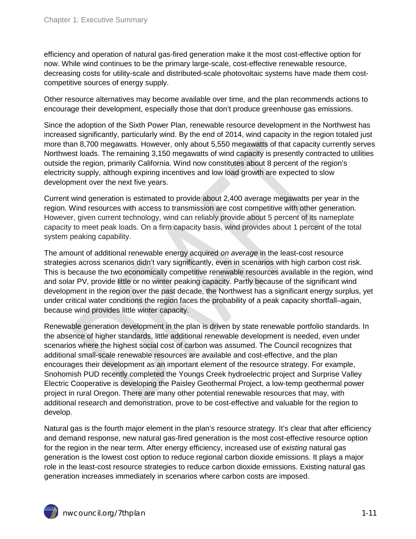efficiency and operation of natural gas-fired generation make it the most cost-effective option for now. While wind continues to be the primary large-scale, cost-effective renewable resource, decreasing costs for utility-scale and distributed-scale photovoltaic systems have made them costcompetitive sources of energy supply.

Other resource alternatives may become available over time, and the plan recommends actions to encourage their development, especially those that don't produce greenhouse gas emissions.

Since the adoption of the Sixth Power Plan, renewable resource development in the Northwest has increased significantly, particularly wind. By the end of 2014, wind capacity in the region totaled just more than 8,700 megawatts. However, only about 5,550 megawatts of that capacity currently serves Northwest loads. The remaining 3,150 megawatts of wind capacity is presently contracted to utilities outside the region, primarily California. Wind now constitutes about 8 percent of the region's electricity supply, although expiring incentives and low load growth are expected to slow development over the next five years.

Current wind generation is estimated to provide about 2,400 average megawatts per year in the region. Wind resources with access to transmission are cost competitive with other generation. However, given current technology, wind can reliably provide about 5 percent of its nameplate capacity to meet peak loads. On a firm capacity basis, wind provides about 1 percent of the total system peaking capability.

The amount of additional renewable energy acquired *on average* in the least-cost resource strategies across scenarios didn't vary significantly, even in scenarios with high carbon cost risk. This is because the two economically competitive renewable resources available in the region, wind and solar PV, provide little or no winter peaking capacity. Partly because of the significant wind development in the region over the past decade, the Northwest has a significant energy surplus, yet under critical water conditions the region faces the probability of a peak capacity shortfall–again, because wind provides little winter capacity.

Renewable generation development in the plan is driven by state renewable portfolio standards. In the absence of higher standards, little additional renewable development is needed, even under scenarios where the highest social cost of carbon was assumed. The Council recognizes that additional small-scale renewable resources are available and cost-effective, and the plan encourages their development as an important element of the resource strategy. For example, Snohomish PUD recently completed the Youngs Creek hydroelectric project and Surprise Valley Electric Cooperative is developing the Paisley Geothermal Project, a low-temp geothermal power project in rural Oregon. There are many other potential renewable resources that may, with additional research and demonstration, prove to be cost-effective and valuable for the region to develop.

Natural gas is the fourth major element in the plan's resource strategy. It's clear that after efficiency and demand response, new natural gas-fired generation is the most cost-effective resource option for the region in the near term. After energy efficiency, increased use of *existing* natural gas generation is the lowest cost option to reduce regional carbon dioxide emissions. It plays a major role in the least-cost resource strategies to reduce carbon dioxide emissions. Existing natural gas generation increases immediately in scenarios where carbon costs are imposed.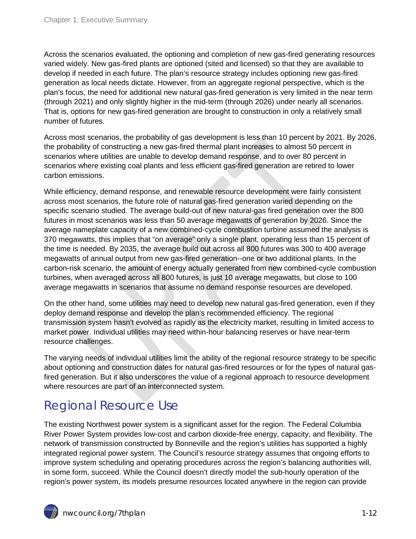Across the scenarios evaluated, the optioning and completion of new gas-fired generating resources varied widely. New gas-fired plants are optioned (sited and licensed) so that they are available to develop if needed in each future. The plan's resource strategy includes optioning new gas-fired generation as local needs dictate. However, from an aggregate regional perspective, which is the plan's focus, the need for additional new natural gas-fired generation is very limited in the near term (through 2021) and only slightly higher in the mid-term (through 2026) under nearly all scenarios. That is, options for new gas-fired generation are brought to construction in only a relatively small number of futures.

Across most scenarios, the probability of gas development is less than 10 percent by 2021. By 2026, the probability of constructing a new gas-fired thermal plant increases to almost 50 percent in scenarios where utilities are unable to develop demand response, and to over 80 percent in scenarios where existing coal plants and less efficient gas-fired generation are retired to lower carbon emissions.

While efficiency, demand response, and renewable resource development were fairly consistent across most scenarios, the future role of natural gas-fired generation varied depending on the specific scenario studied. The average build-out of new natural-gas fired generation over the 800 futures in most scenarios was less than 50 average megawatts of generation by 2026. Since the average nameplate capacity of a new combined-cycle combustion turbine assumed the analysis is 370 megawatts, this implies that "on average" only a single plant, operating less than 15 percent of the time is needed. By 2035, the average build out across all 800 futures was 300 to 400 average megawatts of annual output from new gas-fired generation--one or two additional plants. In the carbon-risk scenario, the amount of energy actually generated from new combined-cycle combustion turbines, when averaged across all 800 futures, is just 10 average megawatts, but close to 100 average megawatts in scenarios that assume no demand response resources are developed.

On the other hand, some utilities may need to develop new natural gas-fired generation, even if they deploy demand response and develop the plan's recommended efficiency. The regional transmission system hasn't evolved as rapidly as the electricity market, resulting in limited access to market power. Individual utilities may need within-hour balancing reserves or have near-term resource challenges.

The varying needs of individual utilities limit the ability of the regional resource strategy to be specific about optioning and construction dates for natural gas-fired resources or for the types of natural gasfired generation. But it also underscores the value of a regional approach to resource development where resources are part of an interconnected system.

#### Regional Resource Use

The existing Northwest power system is a significant asset for the region. The Federal Columbia River Power System provides low-cost and carbon dioxide-free energy, capacity, and flexibility. The network of transmission constructed by Bonneville and the region's utilities has supported a highly integrated regional power system. The Council's resource strategy assumes that ongoing efforts to improve system scheduling and operating procedures across the region's balancing authorities will, in some form, succeed. While the Council doesn't directly model the sub-hourly operation of the region's power system, its models presume resources located anywhere in the region can provide

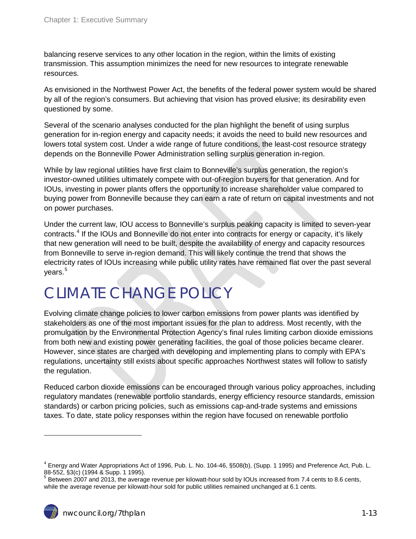balancing reserve services to any other location in the region, within the limits of existing transmission. This assumption minimizes the need for new resources to integrate renewable resources.

As envisioned in the Northwest Power Act, the benefits of the federal power system would be shared by all of the region's consumers. But achieving that vision has proved elusive; its desirability even questioned by some.

Several of the scenario analyses conducted for the plan highlight the benefit of using surplus generation for in-region energy and capacity needs; it avoids the need to build new resources and lowers total system cost. Under a wide range of future conditions, the least-cost resource strategy depends on the Bonneville Power Administration selling surplus generation in-region.

While by law regional utilities have first claim to Bonneville's surplus generation, the region's investor-owned utilities ultimately compete with out-of-region buyers for that generation. And for IOUs, investing in power plants offers the opportunity to increase shareholder value compared to buying power from Bonneville because they can earn a rate of return on capital investments and not on power purchases.

Under the current law, IOU access to Bonneville's surplus peaking capacity is limited to seven-year contracts.[4](#page-9-0) If the IOUs and Bonneville do not enter into contracts for energy or capacity, it's likely that new generation will need to be built, despite the availability of energy and capacity resources from Bonneville to serve in-region demand. This will likely continue the trend that shows the electricity rates of IOUs increasing while public utility rates have remained flat over the past several vears. $5$ 

# CLIMATE CHANGE POLICY

Evolving climate change policies to lower carbon emissions from power plants was identified by stakeholders as one of the most important issues for the plan to address. Most recently, with the promulgation by the Environmental Protection Agency's final rules limiting carbon dioxide emissions from both new and existing power generating facilities, the goal of those policies became clearer. However, since states are charged with developing and implementing plans to comply with EPA's regulations, uncertainty still exists about specific approaches Northwest states will follow to satisfy the regulation.

Reduced carbon dioxide emissions can be encouraged through various policy approaches, including regulatory mandates (renewable portfolio standards, energy efficiency resource standards, emission standards) or carbon pricing policies, such as emissions cap-and-trade systems and emissions taxes. To date, state policy responses within the region have focused on renewable portfolio

<span id="page-12-1"></span><sup>4</sup> Energy and Water Appropriations Act of 1996, Pub. L. No. 104-46, §508(b), (Supp. 1 1995) and Preference Act, Pub. L.

<span id="page-12-0"></span><sup>88-552, §3(</sup>c) (1994 & Supp. 1 1995).<br><sup>5</sup> Between 2007 and 2013, the average revenue per kilowatt-hour sold by IOUs increased from 7.4 cents to 8.6 cents, while the average revenue per kilowatt-hour sold for public utilities remained unchanged at 6.1 cents.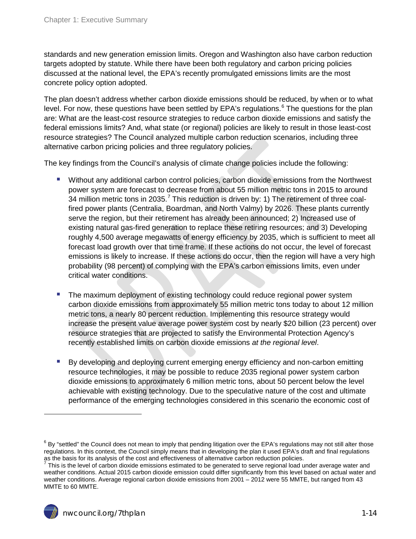standards and new generation emission limits. Oregon and Washington also have carbon reduction targets adopted by statute. While there have been both regulatory and carbon pricing policies discussed at the national level, the EPA's recently promulgated emissions limits are the most concrete policy option adopted.

The plan doesn't address whether carbon dioxide emissions should be reduced, by when or to what level. For now, these questions have been settled by EPA's regulations.<sup>[6](#page-12-1)</sup> The questions for the plan are: What are the least-cost resource strategies to reduce carbon dioxide emissions and satisfy the federal emissions limits? And, what state (or regional) policies are likely to result in those least-cost resource strategies? The Council analyzed multiple carbon reduction scenarios, including three alternative carbon pricing policies and three regulatory policies.

The key findings from the Council's analysis of climate change policies include the following:

- Without any additional carbon control policies, carbon dioxide emissions from the Northwest power system are forecast to decrease from about 55 million metric tons in 2015 to around 34 million metric tons in 2035.<sup>[7](#page-13-0)</sup> This reduction is driven by: 1) The retirement of three coalfired power plants (Centralia, Boardman, and North Valmy) by 2026. These plants currently serve the region, but their retirement has already been announced; 2) Increased use of existing natural gas-fired generation to replace these retiring resources; and 3) Developing roughly 4,500 average megawatts of energy efficiency by 2035, which is sufficient to meet all forecast load growth over that time frame. If these actions do not occur, the level of forecast emissions is likely to increase. If these actions do occur, then the region will have a very high probability (98 percent) of complying with the EPA's carbon emissions limits, even under critical water conditions.
- **The maximum deployment of existing technology could reduce regional power system** carbon dioxide emissions from approximately 55 million metric tons today to about 12 million metric tons, a nearly 80 percent reduction. Implementing this resource strategy would increase the present value average power system cost by nearly \$20 billion (23 percent) over resource strategies that are projected to satisfy the Environmental Protection Agency's recently established limits on carbon dioxide emissions *at the regional level*.
- By developing and deploying current emerging energy efficiency and non-carbon emitting resource technologies, it may be possible to reduce 2035 regional power system carbon dioxide emissions to approximately 6 million metric tons, about 50 percent below the level achievable with existing technology. Due to the speculative nature of the cost and ultimate performance of the emerging technologies considered in this scenario the economic cost of

 $^6$  By "settled" the Council does not mean to imply that pending litigation over the EPA's regulations may not still alter those regulations. In this context, the Council simply means that in developing the plan it used EPA's draft and final regulations as the basis for its analysis of the cost and effectiveness of alternative carbon reduction policies.

<span id="page-13-0"></span> $^7$  This is the level of carbon dioxide emissions estimated to be generated to serve regional load under average water and weather conditions. Actual 2015 carbon dioxide emission could differ significantly from this level based on actual water and weather conditions. Average regional carbon dioxide emissions from 2001 – 2012 were 55 MMTE, but ranged from 43 MMTE to 60 MMTE.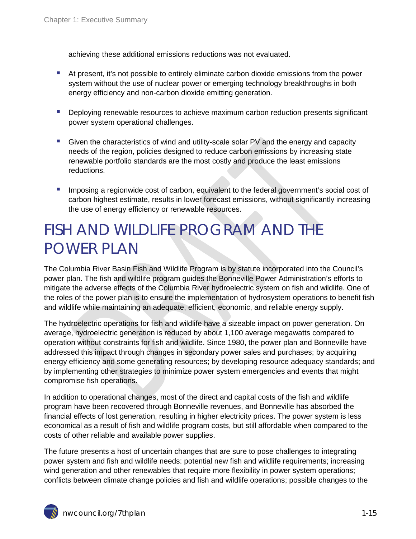achieving these additional emissions reductions was not evaluated.

- At present, it's not possible to entirely eliminate carbon dioxide emissions from the power system without the use of nuclear power or emerging technology breakthroughs in both energy efficiency and non-carbon dioxide emitting generation.
- **Deploying renewable resources to achieve maximum carbon reduction presents significant** power system operational challenges.
- **Given the characteristics of wind and utility-scale solar PV and the energy and capacity** needs of the region, policies designed to reduce carbon emissions by increasing state renewable portfolio standards are the most costly and produce the least emissions reductions.
- **Imposing a regionwide cost of carbon, equivalent to the federal government's social cost of** carbon highest estimate, results in lower forecast emissions, without significantly increasing the use of energy efficiency or renewable resources.

# FISH AND WILDLIFE PROGRAM AND THE POWER PLAN

The Columbia River Basin Fish and Wildlife Program is by statute incorporated into the Council's power plan. The fish and wildlife program guides the Bonneville Power Administration's efforts to mitigate the adverse effects of the Columbia River hydroelectric system on fish and wildlife. One of the roles of the power plan is to ensure the implementation of hydrosystem operations to benefit fish and wildlife while maintaining an adequate, efficient, economic, and reliable energy supply.

The hydroelectric operations for fish and wildlife have a sizeable impact on power generation. On average, hydroelectric generation is reduced by about 1,100 average megawatts compared to operation without constraints for fish and wildlife. Since 1980, the power plan and Bonneville have addressed this impact through changes in secondary power sales and purchases; by acquiring energy efficiency and some generating resources; by developing resource adequacy standards; and by implementing other strategies to minimize power system emergencies and events that might compromise fish operations.

In addition to operational changes, most of the direct and capital costs of the fish and wildlife program have been recovered through Bonneville revenues, and Bonneville has absorbed the financial effects of lost generation, resulting in higher electricity prices. The power system is less economical as a result of fish and wildlife program costs, but still affordable when compared to the costs of other reliable and available power supplies.

The future presents a host of uncertain changes that are sure to pose challenges to integrating power system and fish and wildlife needs: potential new fish and wildlife requirements; increasing wind generation and other renewables that require more flexibility in power system operations; conflicts between climate change policies and fish and wildlife operations; possible changes to the